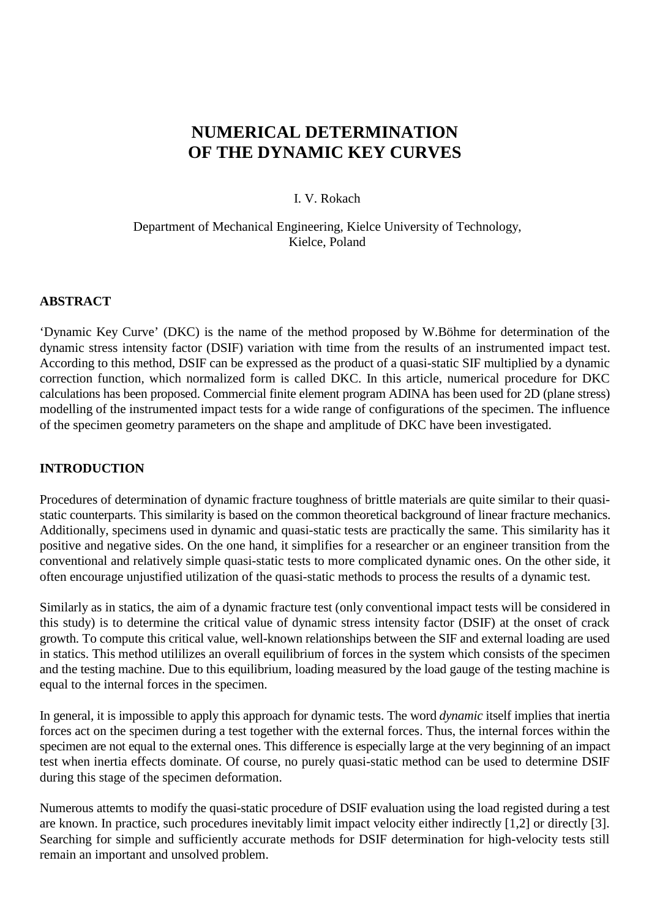# **NUMERICAL DETERMINATION OF THE DYNAMIC KEY CURVES**

#### I. V. Rokach

#### Department of Mechanical Engineering, Kielce University of Technology, Kielce, Poland

### **ABSTRACT**

'Dynamic Key Curve' (DKC) is the name of the method proposed by W.Böhme for determination of the dynamic stress intensity factor (DSIF) variation with time from the results of an instrumented impact test. According to this method, DSIF can be expressed as the product of a quasi-static SIF multiplied by a dynamic correction function*,* which normalized form is called DKC. In this article, numerical procedure for DKC calculations has been proposed. Commercial finite element program ADINA has been used for 2D (plane stress) modelling of the instrumented impact tests for a wide range of configurations of the specimen. The influence of the specimen geometry parameters on the shape and amplitude of DKC have been investigated.

### **INTRODUCTION**

Procedures of determination of dynamic fracture toughness of brittle materials are quite similar to their quasistatic counterparts. This similarity is based on the common theoretical background of linear fracture mechanics. Additionally, specimens used in dynamic and quasi-static tests are practically the same. This similarity has it positive and negative sides. On the one hand, it simplifies for a researcher or an engineer transition from the conventional and relatively simple quasi-static tests to more complicated dynamic ones. On the other side, it often encourage unjustified utilization of the quasi-static methods to process the results of a dynamic test.

Similarly as in statics, the aim of a dynamic fracture test (only conventional impact tests will be considered in this study) is to determine the critical value of dynamic stress intensity factor (DSIF) at the onset of crack growth. To compute this critical value, well-known relationships between the SIF and external loading are used in statics. This method utililizes an overall equilibrium of forces in the system which consists of the specimen and the testing machine. Due to this equilibrium, loading measured by the load gauge of the testing machine is equal to the internal forces in the specimen.

In general, it is impossible to apply this approach for dynamic tests. The word *dynamic* itself implies that inertia forces act on the specimen during a test together with the external forces. Thus, the internal forces within the specimen are not equal to the external ones. This difference is especially large at the very beginning of an impact test when inertia effects dominate. Of course, no purely quasi-static method can be used to determine DSIF during this stage of the specimen deformation.

Numerous attemts to modify the quasi-static procedure of DSIF evaluation using the load registed during a test are known. In practice, such procedures inevitably limit impact velocity either indirectly [1,2] or directly [3]. Searching for simple and sufficiently accurate methods for DSIF determination for high-velocity tests still remain an important and unsolved problem.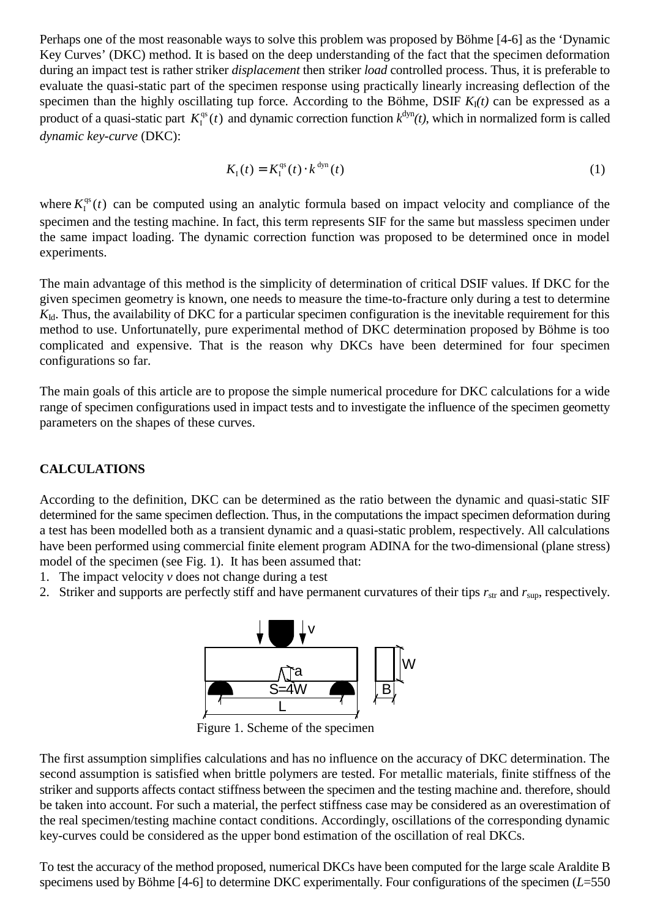Perhaps one of the most reasonable ways to solve this problem was proposed by Böhme [4-6] as the 'Dynamic Key Curves' (DKC) method. It is based on the deep understanding of the fact that the specimen deformation during an impact test is rather striker *displacement* then striker *load* controlled process. Thus, it is preferable to evaluate the quasi-static part of the specimen response using practically linearly increasing deflection of the specimen than the highly oscillating tup force. According to the Böhme, DSIF  $K_I(t)$  can be expressed as a product of a quasi-static part  $K_I^{qs}(t)$  and dynamic correction function  $k^{dyn}(t)$ , which in normalized form is called *dynamic key-curve* (DKC):

$$
K_{I}(t) = K_{I}^{\text{qs}}(t) \cdot k^{\text{dyn}}(t)
$$
\n(1)

where  $K_I^{\text{qs}}(t)$  can be computed using an analytic formula based on impact velocity and compliance of the specimen and the testing machine. In fact, this term represents SIF for the same but massless specimen under the same impact loading. The dynamic correction function was proposed to be determined once in model experiments.

The main advantage of this method is the simplicity of determination of critical DSIF values. If DKC for the given specimen geometry is known, one needs to measure the time-to-fracture only during a test to determine *K*<sub>Id</sub>. Thus, the availability of DKC for a particular specimen configuration is the inevitable requirement for this method to use. Unfortunatelly, pure experimental method of DKC determination proposed by Böhme is too complicated and expensive. That is the reason why DKCs have been determined for four specimen configurations so far.

The main goals of this article are to propose the simple numerical procedure for DKC calculations for a wide range of specimen configurations used in impact tests and to investigate the influence of the specimen geometty parameters on the shapes of these curves.

# **CALCULATIONS**

According to the definition, DKC can be determined as the ratio between the dynamic and quasi-static SIF determined for the same specimen deflection. Thus, in the computations the impact specimen deformation during a test has been modelled both as a transient dynamic and a quasi-static problem, respectively. All calculations have been performed using commercial finite element program ADINA for the two-dimensional (plane stress) model of the specimen (see Fig. 1). It has been assumed that:

- 1. The impact velocity *v* does not change during a test
- 2. Striker and supports are perfectly stiff and have permanent curvatures of their tips  $r_{str}$  and  $r_{sup}$ , respectively.



Figure 1. Scheme of the specimen

The first assumption simplifies calculations and has no influence on the accuracy of DKC determination. The second assumption is satisfied when brittle polymers are tested. For metallic materials, finite stiffness of the striker and supports affects contact stiffness between the specimen and the testing machine and. therefore, should be taken into account. For such a material, the perfect stiffness case may be considered as an overestimation of the real specimen/testing machine contact conditions. Accordingly, oscillations of the corresponding dynamic key-curves could be considered as the upper bond estimation of the oscillation of real DKCs.

To test the accuracy of the method proposed, numerical DKCs have been computed for the large scale Araldite B specimens used by Böhme [4-6] to determine DKC experimentally. Four configurations of the specimen (*L*=550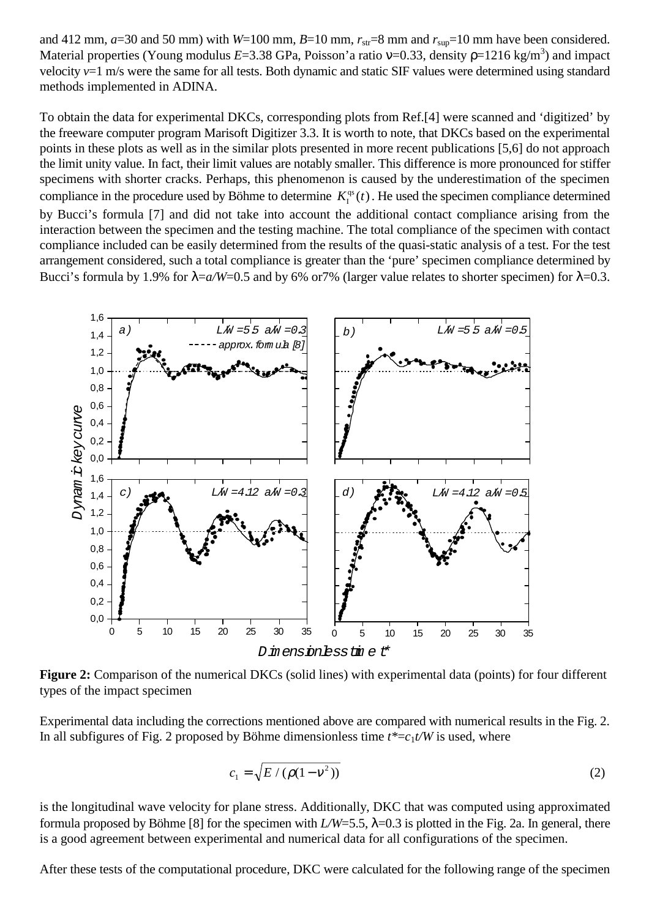and 412 mm,  $a=30$  and 50 mm) with *W*=100 mm,  $B=10$  mm,  $r_{\text{str}}=8$  mm and  $r_{\text{sup}}=10$  mm have been considered. Material properties (Young modulus *E*=3.38 GPa, Poisson'a ratio ν=0.33, density ρ=1216 kg/m<sup>3</sup>) and impact velocity *v*=1 m/s were the same for all tests. Both dynamic and static SIF values were determined using standard methods implemented in ADINA.

To obtain the data for experimental DKCs, corresponding plots from Ref.[4] were scanned and 'digitized' by the freeware computer program Marisoft Digitizer 3.3. It is worth to note, that DKCs based on the experimental points in these plots as well as in the similar plots presented in more recent publications [5,6] do not approach the limit unity value. In fact, their limit values are notably smaller. This difference is more pronounced for stiffer specimens with shorter cracks. Perhaps, this phenomenon is caused by the underestimation of the specimen compliance in the procedure used by Böhme to determine  $K_I^{\text{qs}}(t)$ . He used the specimen compliance determined by Bucci's formula [7] and did not take into account the additional contact compliance arising from the interaction between the specimen and the testing machine. The total compliance of the specimen with contact compliance included can be easily determined from the results of the quasi-static analysis of a test. For the test arrangement considered, such a total compliance is greater than the 'pure' specimen compliance determined by Bucci's formula by 1.9% for  $\lambda = a/W = 0.5$  and by 6% or 7% (larger value relates to shorter specimen) for  $\lambda = 0.3$ .



**Figure 2:** Comparison of the numerical DKCs (solid lines) with experimental data (points) for four different types of the impact specimen

Experimental data including the corrections mentioned above are compared with numerical results in the Fig. 2. In all subfigures of Fig. 2 proposed by Böhme dimensionless time  $t^* = c_1 t/W$  is used, where

$$
c_1 = \sqrt{E/(\rho(1 - v^2))}
$$
 (2)

is the longitudinal wave velocity for plane stress. Additionally, DKC that was computed using approximated formula proposed by Böhme [8] for the specimen with  $L/W=5.5$ ,  $\lambda=0.3$  is plotted in the Fig. 2a. In general, there is a good agreement between experimental and numerical data for all configurations of the specimen.

After these tests of the computational procedure, DKC were calculated for the following range of the specimen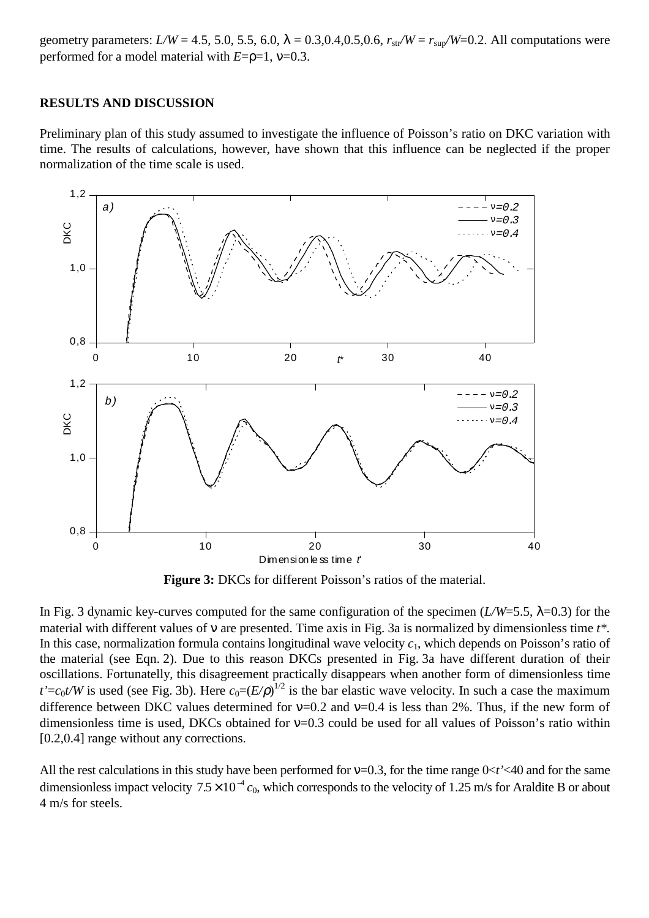geometry parameters:  $L/W = 4.5, 5.0, 5.5, 6.0, \lambda = 0.3, 0.4, 0.5, 0.6, r_{str}/W = r_{sur}/W = 0.2$ . All computations were performed for a model material with *E*=ρ=1, ν=0.3.

#### **RESULTS AND DISCUSSION**

Preliminary plan of this study assumed to investigate the influence of Poisson's ratio on DKC variation with time. The results of calculations, however, have shown that this influence can be neglected if the proper normalization of the time scale is used.



**Figure 3:** DKCs for different Poisson's ratios of the material.

In Fig. 3 dynamic key-curves computed for the same configuration of the specimen ( $L/W=5.5$ ,  $\lambda=0.3$ ) for the material with different values of ν are presented. Time axis in Fig. 3a is normalized by dimensionless time *t\*.* In this case, normalization formula contains longitudinal wave velocity  $c_1$ , which depends on Poisson's ratio of the material (see Eqn. 2). Due to this reason DKCs presented in Fig. 3a have different duration of their oscillations. Fortunatelly, this disagreement practically disappears when another form of dimensionless time  $t' = c_0 t/W$  is used (see Fig. 3b). Here  $c_0 = (E/\rho)^{1/2}$  is the bar elastic wave velocity. In such a case the maximum difference between DKC values determined for  $v=0.2$  and  $v=0.4$  is less than 2%. Thus, if the new form of dimensionless time is used, DKCs obtained for  $v=0.3$  could be used for all values of Poisson's ratio within [0.2,0.4] range without any corrections.

All the rest calculations in this study have been performed for  $v=0.3$ , for the time range  $0 < t' < 40$  and for the same dimensionless impact velocity  $7.5 \times 10^{-4}$   $c_0$ , which corresponds to the velocity of 1.25 m/s for Araldite B or about 4 m/s for steels.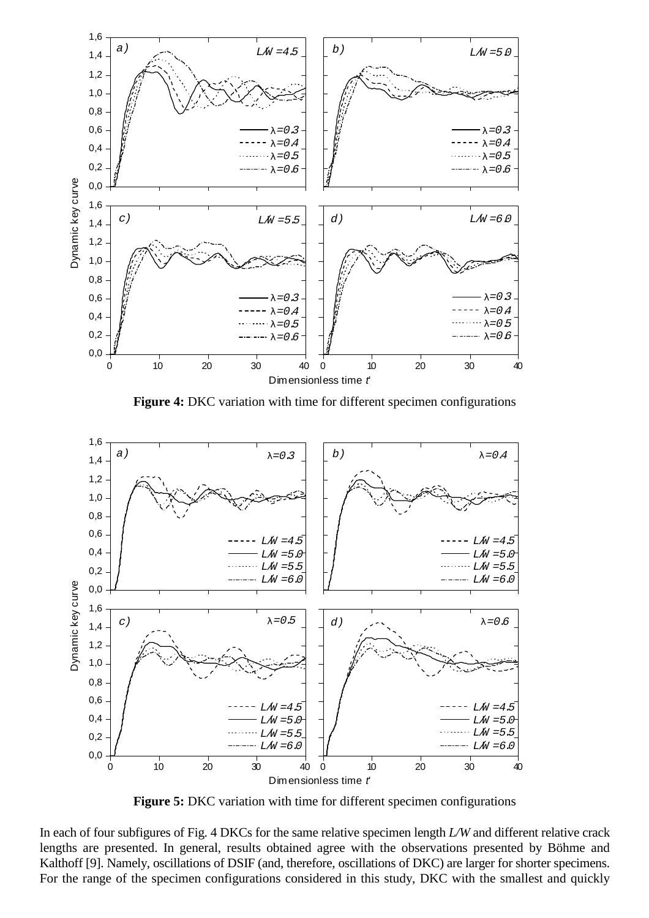

**Figure 4:** DKC variation with time for different specimen configurations



**Figure 5:** DKC variation with time for different specimen configurations

In each of four subfigures of Fig. 4 DKCs for the same relative specimen length *L/W* and different relative crack lengths are presented. In general, results obtained agree with the observations presented by Böhme and Kalthoff [9]. Namely, oscillations of DSIF (and, therefore, oscillations of DKC) are larger for shorter specimens. For the range of the specimen configurations considered in this study, DKC with the smallest and quickly